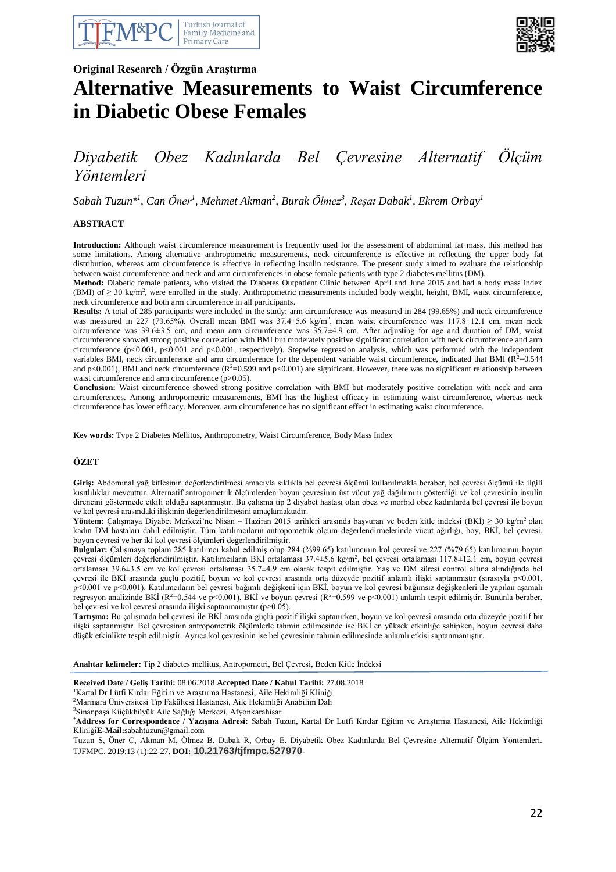



## **Original Research / Özgün Araştırma**

# **Alternative Measurements to Waist Circumference in Diabetic Obese Females**

# *Diyabetik Obez Kadınlarda Bel Çevresine Alternatif Ölçüm Yöntemleri*

*Sabah Tuzun\* 1 , Can Öner<sup>1</sup> , Mehmet Akman<sup>2</sup> , Burak Ölmez<sup>3</sup> , Reşat Dabak<sup>1</sup> , Ekrem Orbay<sup>1</sup>*

#### **ABSTRACT**

**Introduction:** Although waist circumference measurement is frequently used for the assessment of abdominal fat mass, this method has some limitations. Among alternative anthropometric measurements, neck circumference is effective in reflecting the upper body fat distribution, whereas arm circumference is effective in reflecting insulin resistance. The present study aimed to evaluate the relationship between waist circumference and neck and arm circumferences in obese female patients with type 2 diabetes mellitus (DM).

**Method:** Diabetic female patients, who visited the Diabetes Outpatient Clinic between April and June 2015 and had a body mass index  $(BM)$  of  $\geq 30$  kg/m<sup>2</sup>, were enrolled in the study. Anthropometric measurements included body weight, height, BMI, waist circumference, neck circumference and both arm circumference in all participants.

**Results:** A total of 285 participants were included in the study; arm circumference was measured in 284 (99.65%) and neck circumference was measured in 227 (79.65%). Overall mean BMI was 37.4±5.6 kg/m<sup>2</sup>, mean waist circumference was 117.8±12.1 cm, mean neck circumference was 39.6±3.5 cm, and mean arm circumference was 35.7±4.9 cm. After adjusting for age and duration of DM, waist circumference showed strong positive correlation with BMI but moderately positive significant correlation with neck circumference and arm circumference (p<0.001, p<0.001 and p<0.001, respectively). Stepwise regression analysis, which was performed with the independent variables BMI, neck circumference and arm circumference for the dependent variable waist circumference, indicated that BMI ( $R^2$ =0.544 and p<0.001), BMI and neck circumference  $(R^2=0.599$  and p<0.001) are significant. However, there was no significant relationship between waist circumference and arm circumference (p>0.05).

**Conclusion:** Waist circumference showed strong positive correlation with BMI but moderately positive correlation with neck and arm circumferences. Among anthropometric measurements, BMI has the highest efficacy in estimating waist circumference, whereas neck circumference has lower efficacy. Moreover, arm circumference has no significant effect in estimating waist circumference.

**Key words:** Type 2 Diabetes Mellitus, Anthropometry, Waist Circumference, Body Mass Index

#### **ÖZET**

**Giriş:** Abdominal yağ kitlesinin değerlendirilmesi amacıyla sıklıkla bel çevresi ölçümü kullanılmakla beraber, bel çevresi ölçümü ile ilgili kısıtlılıklar mevcuttur. Alternatif antropometrik ölçümlerden boyun çevresinin üst vücut yağ dağılımını gösterdiği ve kol çevresinin insulin direncini göstermede etkili olduğu saptanmıştır. Bu çalışma tip 2 diyabet hastası olan obez ve morbid obez kadınlarda bel çevresi ile boyun ve kol çevresi arasındaki ilişkinin değerlendirilmesini amaçlamaktadır.

**Yöntem:** Çalışmaya Diyabet Merkezi'ne Nisan – Haziran 2015 tarihleri arasında başvuran ve beden kitle indeksi (BKİ) ≥ 30 kg/m<sup>2</sup> olan kadın DM hastaları dahil edilmiştir. Tüm katılımcıların antropometrik ölçüm değerlendirmelerinde vücut ağırlığı, boy, BKİ, bel çevresi, boyun çevresi ve her iki kol çevresi ölçümleri değerlendirilmiştir.

**Bulgular:** Çalışmaya toplam 285 katılımcı kabul edilmiş olup 284 (%99.65) katılımcının kol çevresi ve 227 (%79.65) katılımcının boyun çevresi ölçümleri değerlendirilmiştir. Katılımcıların BKİ ortalaması 37.4±5.6 kg/m<sup>2</sup> , bel çevresi ortalaması 117.8±12.1 cm, boyun çevresi ortalaması 39.6±3.5 cm ve kol çevresi ortalaması 35.7±4.9 cm olarak tespit edilmiştir. Yaş ve DM süresi control altına alındığında bel çevresi ile BKİ arasında güçlü pozitif, boyun ve kol çevresi arasında orta düzeyde pozitif anlamlı ilişki saptanmıştır (sırasıyla p<0.001, p<0.001 ve p<0.001). Katılımcıların bel çevresi bağımlı değişkeni için BKİ, boyun ve kol çevresi bağımsız değişkenleri ile yapılan aşamalı regresyon analizinde BKİ (R<sup>2</sup>=0.544 ve p<0.001), BKİ ve boyun çevresi (R<sup>2</sup>=0.599 ve p<0.001) anlamlı tespit edilmiştir. Bununla beraber, bel çevresi ve kol çevresi arasında ilişki saptanmamıştır (p>0.05).

**Tartışma:** Bu çalışmada bel çevresi ile BKİ arasında güçlü pozitif ilişki saptanırken, boyun ve kol çevresi arasında orta düzeyde pozitif bir ilişki saptanmıştır. Bel çevresinin antropometrik ölçümlerle tahmin edilmesinde ise BKİ en yüksek etkinliğe sahipken, boyun çevresi daha düşük etkinlikte tespit edilmiştir. Ayrıca kol çevresinin ise bel çevresinin tahmin edilmesinde anlamlı etkisi saptanmamıştır.

**Anahtar kelimeler:** Tip 2 diabetes mellitus, Antropometri, Bel Çevresi, Beden Kitle İndeksi

#### **Received Date / Geliş Tarihi:** 08.06.2018 **Accepted Date / Kabul Tarihi:** 27.08.2018

<sup>1</sup>Kartal Dr Lütfi Kırdar Eğitim ve Araştırma Hastanesi, Aile Hekimliği Kliniği

<sup>2</sup>Marmara Üniversitesi Tıp Fakültesi Hastanesi, Aile Hekimliği Anabilim Dalı

<sup>3</sup>Sinanpaşa Küçükhüyük Aile Sağlığı Merkezi, Afyonkarahisar

\***Address for Correspondence / Yazışma Adresi:** Sabah Tuzun, Kartal Dr Lutfi Kırdar Eğitim ve Araştırma Hastanesi, Aile Hekimliği Kliniği**E-Mail:**sabahtuzun@gmail.com

Tuzun S, Öner C, Akman M, Ölmez B, Dabak R, Orbay E. Diyabetik Obez Kadınlarda Bel Çevresine Alternatif Ölçüm Yöntemleri. TJFMPC, 2019;13 (1):22-27. **DOI: 10.21763/tjfmpc.527970-**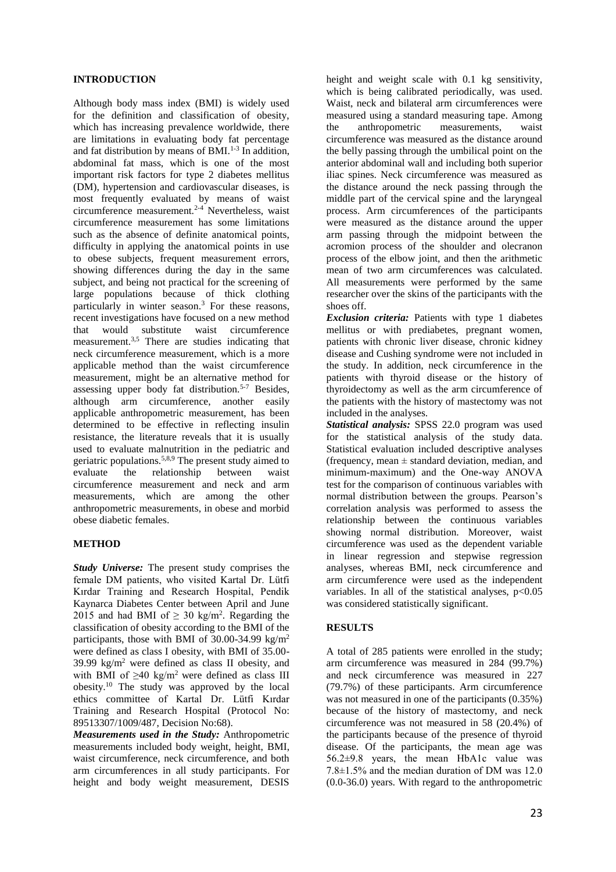#### **INTRODUCTION**

Although body mass index (BMI) is widely used for the definition and classification of obesity, which has increasing prevalence worldwide, there are limitations in evaluating body fat percentage and fat distribution by means of  $BMI$ .<sup>1-3</sup> In addition, abdominal fat mass, which is one of the most important risk factors for type 2 diabetes mellitus (DM), hypertension and cardiovascular diseases, is most frequently evaluated by means of waist circumference measurement.2-4 Nevertheless, waist circumference measurement has some limitations such as the absence of definite anatomical points, difficulty in applying the anatomical points in use to obese subjects, frequent measurement errors, showing differences during the day in the same subject, and being not practical for the screening of large populations because of thick clothing particularly in winter season.<sup>3</sup> For these reasons, recent investigations have focused on a new method that would substitute waist circumference measurement.3,5 There are studies indicating that neck circumference measurement, which is a more applicable method than the waist circumference measurement, might be an alternative method for assessing upper body fat distribution.5-7 Besides, although arm circumference, another easily applicable anthropometric measurement, has been determined to be effective in reflecting insulin resistance, the literature reveals that it is usually used to evaluate malnutrition in the pediatric and geriatric populations.<sup>5,8,9</sup> The present study aimed to evaluate the relationship between waist relationship between waist circumference measurement and neck and arm measurements, which are among the other anthropometric measurements, in obese and morbid obese diabetic females.

#### **METHOD**

*Study Universe:* The present study comprises the female DM patients, who visited Kartal Dr. Lütfi Kırdar Training and Research Hospital, Pendik Kaynarca Diabetes Center between April and June 2015 and had BMI of  $\geq$  30 kg/m<sup>2</sup>. Regarding the classification of obesity according to the BMI of the participants, those with BMI of 30.00-34.99 kg/m<sup>2</sup> were defined as class I obesity, with BMI of 35.00- 39.99 kg/m<sup>2</sup> were defined as class II obesity, and with BMI of  $\geq 40$  kg/m<sup>2</sup> were defined as class III obesity.<sup>10</sup> The study was approved by the local ethics committee of Kartal Dr. Lütfi Kırdar Training and Research Hospital (Protocol No: 89513307/1009/487, Decision No:68).

*Measurements used in the Study:* Anthropometric measurements included body weight, height, BMI, waist circumference, neck circumference, and both arm circumferences in all study participants. For height and body weight measurement, DESIS height and weight scale with 0.1 kg sensitivity, which is being calibrated periodically, was used. Waist, neck and bilateral arm circumferences were measured using a standard measuring tape. Among the anthropometric measurements, waist circumference was measured as the distance around the belly passing through the umbilical point on the anterior abdominal wall and including both superior iliac spines. Neck circumference was measured as the distance around the neck passing through the middle part of the cervical spine and the laryngeal process. Arm circumferences of the participants were measured as the distance around the upper arm passing through the midpoint between the acromion process of the shoulder and olecranon process of the elbow joint, and then the arithmetic mean of two arm circumferences was calculated. All measurements were performed by the same researcher over the skins of the participants with the shoes off.

*Exclusion criteria:* Patients with type 1 diabetes mellitus or with prediabetes, pregnant women, patients with chronic liver disease, chronic kidney disease and Cushing syndrome were not included in the study. In addition, neck circumference in the patients with thyroid disease or the history of thyroidectomy as well as the arm circumference of the patients with the history of mastectomy was not included in the analyses.

*Statistical analysis:* SPSS 22.0 program was used for the statistical analysis of the study data. Statistical evaluation included descriptive analyses (frequency, mean  $\pm$  standard deviation, median, and minimum-maximum) and the One-way ANOVA test for the comparison of continuous variables with normal distribution between the groups. Pearson's correlation analysis was performed to assess the relationship between the continuous variables showing normal distribution. Moreover, waist circumference was used as the dependent variable in linear regression and stepwise regression analyses, whereas BMI, neck circumference and arm circumference were used as the independent variables. In all of the statistical analyses,  $p<0.05$ was considered statistically significant.

#### **RESULTS**

A total of 285 patients were enrolled in the study; arm circumference was measured in 284 (99.7%) and neck circumference was measured in 227 (79.7%) of these participants. Arm circumference was not measured in one of the participants (0.35%) because of the history of mastectomy, and neck circumference was not measured in 58 (20.4%) of the participants because of the presence of thyroid disease. Of the participants, the mean age was  $56.2 \pm 9.8$  years, the mean HbA1c value was 7.8±1.5% and the median duration of DM was 12.0 (0.0-36.0) years. With regard to the anthropometric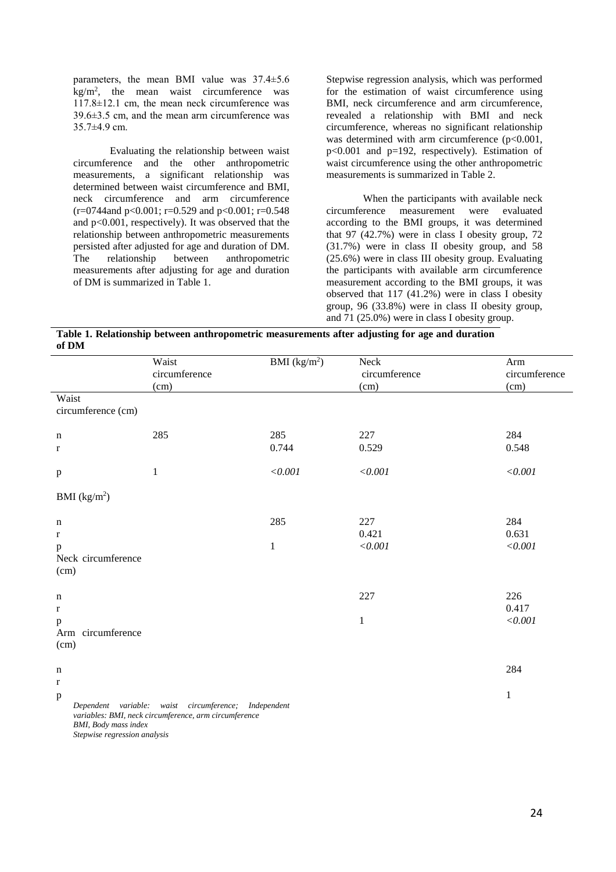parameters, the mean BMI value was 37.4±5.6  $\text{kg/m}^2$ , the mean waist circumference was 117.8±12.1 cm, the mean neck circumference was 39.6±3.5 cm, and the mean arm circumference was 35.7±4.9 cm.

Evaluating the relationship between waist circumference and the other anthropometric measurements, a significant relationship was determined between waist circumference and BMI, neck circumference and arm circumference  $(r=0744$ and p<0.001; r=0.529 and p<0.001; r=0.548 and p<0.001, respectively). It was observed that the relationship between anthropometric measurements persisted after adjusted for age and duration of DM. The relationship between anthropometric measurements after adjusting for age and duration of DM is summarized in Table 1.

Stepwise regression analysis, which was performed for the estimation of waist circumference using BMI, neck circumference and arm circumference, revealed a relationship with BMI and neck circumference, whereas no significant relationship was determined with arm circumference (p<0.001, p<0.001 and p=192, respectively). Estimation of waist circumference using the other anthropometric measurements is summarized in Table 2.

When the participants with available neck<br>circumference measurement were evaluated measurement were evaluated according to the BMI groups, it was determined that 97 (42.7%) were in class I obesity group, 72 (31.7%) were in class II obesity group, and 58 (25.6%) were in class III obesity group. Evaluating the participants with available arm circumference measurement according to the BMI groups, it was observed that 117 (41.2%) were in class I obesity group, 96 (33.8%) were in class II obesity group, and 71 (25.0%) were in class I obesity group.

**Table 1. Relationship between anthropometric measurements after adjusting for age and duration of DM** 

| Waist<br>circumference<br>(cm)                                            |                                                                                                               | BMI $(kg/m2)$      | Neck<br>circumference<br>(cm) | Arm<br>circumference<br>(cm) |  |
|---------------------------------------------------------------------------|---------------------------------------------------------------------------------------------------------------|--------------------|-------------------------------|------------------------------|--|
| Waist<br>circumference (cm)                                               |                                                                                                               |                    |                               |                              |  |
| n<br>r                                                                    | 285                                                                                                           | 285<br>0.744       | 227<br>0.529                  | 284<br>0.548                 |  |
| $\, {\bf p}$                                                              | $\,1$                                                                                                         | $<\!\!0.001$       | $<\!\!0.001$                  | $<\!\!0.001$                 |  |
| BMI (kg/m <sup>2</sup> )                                                  |                                                                                                               |                    |                               |                              |  |
| n<br>$\bf r$<br>p<br>Neck circumference<br>(cm)                           |                                                                                                               | 285<br>$\mathbf 1$ | 227<br>0.421<br>$<\!\!0.001$  | 284<br>0.631<br>$<\!\!0.001$ |  |
| n<br>r<br>p<br>Arm circumference                                          |                                                                                                               |                    | 227<br>$\mathbf{1}$           | 226<br>0.417<br>$<\!\!0.001$ |  |
| (cm)<br>n<br>$\mathbf{r}$<br>$\, {\bf p}$<br><b>BMI</b> , Body mass index | Dependent variable: waist circumference; Independent<br>variables: BMI, neck circumference, arm circumference |                    |                               | 284<br>$\mathbf{1}$          |  |

*Stepwise regression analysis*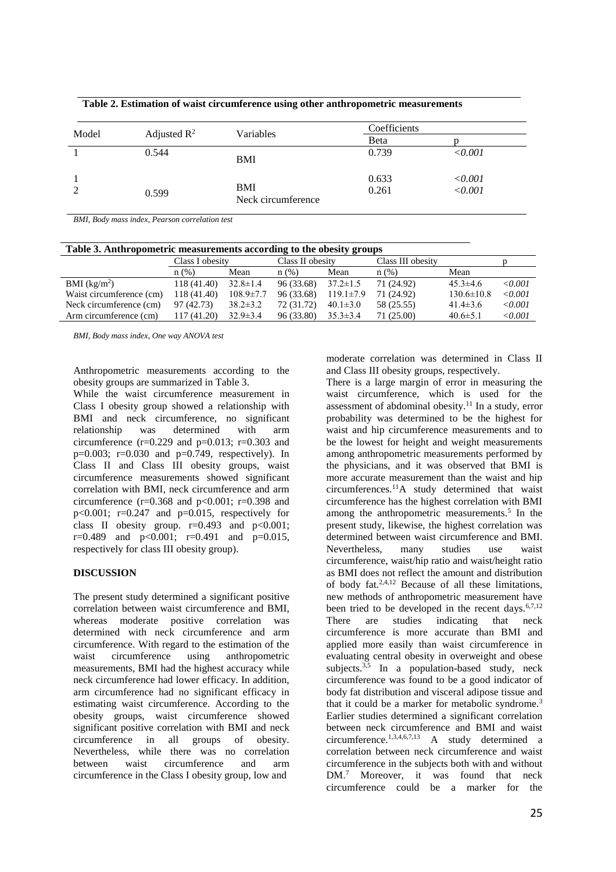| Model | Adjusted $\mathbb{R}^2$ | Variables                 | Coefficients   |                            |
|-------|-------------------------|---------------------------|----------------|----------------------------|
|       |                         |                           | Beta           |                            |
|       | 0.544                   | BMI                       | 0.739          | < 0.001                    |
|       | 0.599                   | BMI<br>Neck circumference | 0.633<br>0.261 | $\langle 0.001$<br>< 0.001 |

**Table 2. Estimation of waist circumference using other anthropometric measurements** 

*BMI, Body mass index, Pearson correlation test*

| Table 3. Anthropometric measurements according to the obesity groups |                 |                 |                  |                 |                   |                  |             |  |  |  |  |
|----------------------------------------------------------------------|-----------------|-----------------|------------------|-----------------|-------------------|------------------|-------------|--|--|--|--|
|                                                                      | Class I obesity |                 | Class II obesity |                 | Class III obesity |                  |             |  |  |  |  |
|                                                                      | n(%)            | Mean            | n(%)             | Mean            | $n$ (%)           | Mean             |             |  |  |  |  |
| BMI $(kg/m2)$                                                        | 118 (41.40)     | $32.8 \pm 1.4$  | 96 (33.68)       | $37.2 \pm 1.5$  | 71 (24.92)        | $45.3 \pm 4.6$   | $\le 0.001$ |  |  |  |  |
| Waist circumference (cm)                                             | 118 (41.40)     | $108.9 \pm 7.7$ | 96 (33.68)       | $119.1 \pm 7.9$ | 71 (24.92)        | $130.6 \pm 10.8$ | $\le 0.001$ |  |  |  |  |
| Neck circumference (cm)                                              | 97 (42.73)      | $38.2 \pm 3.2$  | 72 (31.72)       | $40.1 \pm 3.0$  | 58 (25.55)        | $41.4 \pm 3.6$   | < 0.001     |  |  |  |  |
| Arm circumference (cm)                                               | 117 (41.20)     | $32.9 \pm 3.4$  | 96 (33.80)       | $35.3 \pm 3.4$  | 71 (25.00)        | $40.6 \pm 5.1$   | ${<}0.001$  |  |  |  |  |

*BMI, Body mass index, One way ANOVA test*

Anthropometric measurements according to the obesity groups are summarized in Table 3.

While the waist circumference measurement in Class I obesity group showed a relationship with BMI and neck circumference, no significant relationship was determined with arm circumference  $(r=0.229$  and  $p=0.013$ ;  $r=0.303$  and  $p=0.003$ ;  $r=0.030$  and  $p=0.749$ , respectively). In Class II and Class III obesity groups, waist circumference measurements showed significant correlation with BMI, neck circumference and arm circumference  $(r=0.368$  and  $p<0.001$ ;  $r=0.398$  and p<0.001; r=0.247 and p=0.015, respectively for class II obesity group.  $r=0.493$  and  $p<0.001$ ;  $r=0.489$  and  $p<0.001$ ;  $r=0.491$  and  $p=0.015$ , respectively for class III obesity group).

# **DISCUSSION**

The present study determined a significant positive correlation between waist circumference and BMI, whereas moderate positive correlation was determined with neck circumference and arm circumference. With regard to the estimation of the waist circumference using anthropometric measurements, BMI had the highest accuracy while neck circumference had lower efficacy. In addition, arm circumference had no significant efficacy in estimating waist circumference. According to the obesity groups, waist circumference showed significant positive correlation with BMI and neck<br>circumference in all groups of obesity. circumference in all groups of obesity. Nevertheless, while there was no correlation between waist circumference and arm circumference in the Class I obesity group, low and

moderate correlation was determined in Class II and Class III obesity groups, respectively.

There is a large margin of error in measuring the waist circumference, which is used for the assessment of abdominal obesity.<sup>11</sup> In a study, error probability was determined to be the highest for waist and hip circumference measurements and to be the lowest for height and weight measurements among anthropometric measurements performed by the physicians, and it was observed that BMI is more accurate measurement than the waist and hip circumferences.<sup>11</sup>A study determined that waist circumference has the highest correlation with BMI among the anthropometric measurements.<sup>5</sup> In the present study, likewise, the highest correlation was determined between waist circumference and BMI. Nevertheless, many studies use waist circumference, waist/hip ratio and waist/height ratio as BMI does not reflect the amount and distribution of body fat.<sup>2,4,12</sup> Because of all these limitations, new methods of anthropometric measurement have been tried to be developed in the recent days.  $6,7,12$ There are studies indicating that neck circumference is more accurate than BMI and applied more easily than waist circumference in evaluating central obesity in overweight and obese subjects.<sup>3,5</sup> In a population-based study, neck circumference was found to be a good indicator of body fat distribution and visceral adipose tissue and that it could be a marker for metabolic syndrome.<sup>3</sup> Earlier studies determined a significant correlation between neck circumference and BMI and waist circumference.1,3,4,6,7,13 A study determined a correlation between neck circumference and waist circumference in the subjects both with and without DM.<sup>7</sup> Moreover, it was found that neck circumference could be a marker for the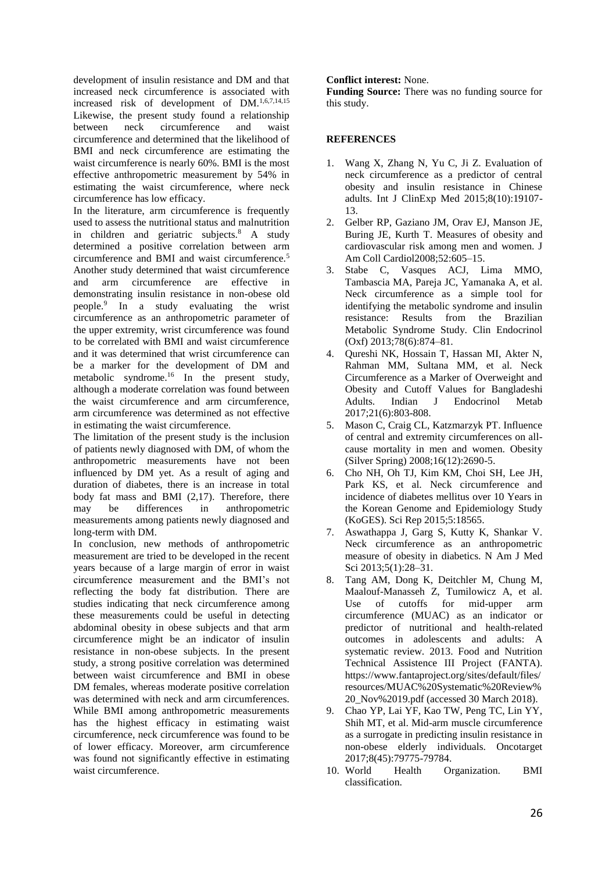development of insulin resistance and DM and that increased neck circumference is associated with increased risk of development of DM.1,6,7,14,15 Likewise, the present study found a relationship between neck circumference and waist circumference and determined that the likelihood of BMI and neck circumference are estimating the waist circumference is nearly 60%. BMI is the most effective anthropometric measurement by 54% in estimating the waist circumference, where neck circumference has low efficacy.

In the literature, arm circumference is frequently used to assess the nutritional status and malnutrition in children and geriatric subjects.<sup>8</sup> A study determined a positive correlation between arm circumference and BMI and waist circumference.<sup>5</sup> Another study determined that waist circumference and arm circumference are effective in demonstrating insulin resistance in non-obese old people.<sup>9</sup> In a study evaluating the wrist circumference as an anthropometric parameter of the upper extremity, wrist circumference was found to be correlated with BMI and waist circumference and it was determined that wrist circumference can be a marker for the development of DM and metabolic syndrome.<sup>16</sup> In the present study, although a moderate correlation was found between the waist circumference and arm circumference, arm circumference was determined as not effective in estimating the waist circumference.

The limitation of the present study is the inclusion of patients newly diagnosed with DM, of whom the anthropometric measurements have not been influenced by DM yet. As a result of aging and duration of diabetes, there is an increase in total body fat mass and BMI (2,17). Therefore, there may be differences in anthropometric measurements among patients newly diagnosed and long-term with DM.

In conclusion, new methods of anthropometric measurement are tried to be developed in the recent years because of a large margin of error in waist circumference measurement and the BMI's not reflecting the body fat distribution. There are studies indicating that neck circumference among these measurements could be useful in detecting abdominal obesity in obese subjects and that arm circumference might be an indicator of insulin resistance in non-obese subjects. In the present study, a strong positive correlation was determined between waist circumference and BMI in obese DM females, whereas moderate positive correlation was determined with neck and arm circumferences. While BMI among anthropometric measurements has the highest efficacy in estimating waist circumference, neck circumference was found to be of lower efficacy. Moreover, arm circumference was found not significantly effective in estimating waist circumference.

#### **Conflict interest:** None.

**Funding Source:** There was no funding source for this study.

## **REFERENCES**

- 1. Wang X, Zhang N, Yu C, Ji Z. Evaluation of neck circumference as a predictor of central obesity and insulin resistance in Chinese adults. Int J ClinExp Med 2015;8(10):19107- 13.
- 2. Gelber RP, Gaziano JM, Orav EJ, Manson JE, Buring JE, Kurth T. Measures of obesity and cardiovascular risk among men and women. J Am Coll Cardiol2008;52:605–15.
- 3. Stabe C, Vasques ACJ, Lima MMO, Tambascia MA, Pareja JC, Yamanaka A, et al. Neck circumference as a simple tool for identifying the metabolic syndrome and insulin resistance: Results from the Brazilian Metabolic Syndrome Study. Clin Endocrinol (Oxf) 2013;78(6):874–81.
- 4. Qureshi NK, Hossain T, Hassan MI, Akter N, Rahman MM, Sultana MM, et al. Neck Circumference as a Marker of Overweight and Obesity and Cutoff Values for Bangladeshi J Endocrinol 2017;21(6):803-808.
- 5. Mason C, Craig CL, Katzmarzyk PT. Influence of central and extremity circumferences on allcause mortality in men and women. Obesity (Silver Spring) 2008;16(12):2690-5.
- 6. Cho NH, Oh TJ, Kim KM, Choi SH, Lee JH, Park KS, et al. Neck circumference and incidence of diabetes mellitus over 10 Years in the Korean Genome and Epidemiology Study (KoGES). Sci Rep 2015;5:18565.
- 7. Aswathappa J, Garg S, Kutty K, Shankar V. Neck circumference as an anthropometric measure of obesity in diabetics. N Am J Med Sci 2013;5(1):28–31.
- 8. Tang AM, Dong K, Deitchler M, Chung M, Maalouf-Manasseh Z, Tumilowicz A, et al. Use of cutoffs for mid-upper arm circumference (MUAC) as an indicator or predictor of nutritional and health-related outcomes in adolescents and adults: A systematic review. 2013. Food and Nutrition Technical Assistence III Project (FANTA). https://www.fantaproject.org/sites/default/files/ resources/MUAC%20Systematic%20Review% 20\_Nov%2019.pdf (accessed 30 March 2018).
- 9. Chao YP, Lai YF, Kao TW, Peng TC, Lin YY, Shih MT, et al. Mid-arm muscle circumference as a surrogate in predicting insulin resistance in non-obese elderly individuals. Oncotarget 2017;8(45):79775-79784.
- 10. World Health Organization. BMI classification.